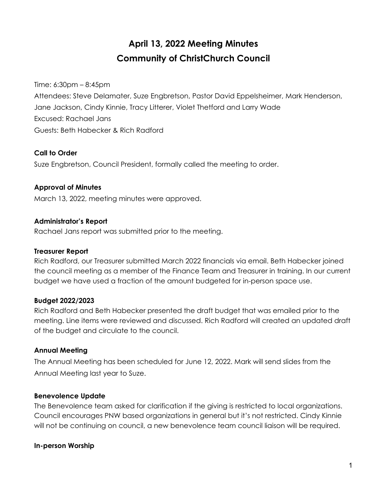# **April 13, 2022 Meeting Minutes Community of ChristChurch Council**

Time: 6:30pm – 8:45pm Attendees: Steve Delamater, Suze Engbretson, Pastor David Eppelsheimer, Mark Henderson, Jane Jackson, Cindy Kinnie, Tracy Litterer, Violet Thetford and Larry Wade Excused: Rachael Jans Guests: Beth Habecker & Rich Radford

## **Call to Order**

Suze Engbretson, Council President, formally called the meeting to order.

## **Approval of Minutes**

March 13, 2022, meeting minutes were approved.

## **Administrator's Report**

Rachael Jans report was submitted prior to the meeting.

#### **Treasurer Report**

Rich Radford, our Treasurer submitted March 2022 financials via email. Beth Habecker joined the council meeting as a member of the Finance Team and Treasurer in training. In our current budget we have used a fraction of the amount budgeted for in-person space use.

## **Budget 2022/2023**

Rich Radford and Beth Habecker presented the draft budget that was emailed prior to the meeting. Line items were reviewed and discussed. Rich Radford will created an updated draft of the budget and circulate to the council.

## **Annual Meeting**

The Annual Meeting has been scheduled for June 12, 2022. Mark will send slides from the Annual Meeting last year to Suze.

#### **Benevolence Update**

The Benevolence team asked for clarification if the giving is restricted to local organizations. Council encourages PNW based organizations in general but it's not restricted. Cindy Kinnie will not be continuing on council, a new benevolence team council liaison will be required.

#### **In-person Worship**